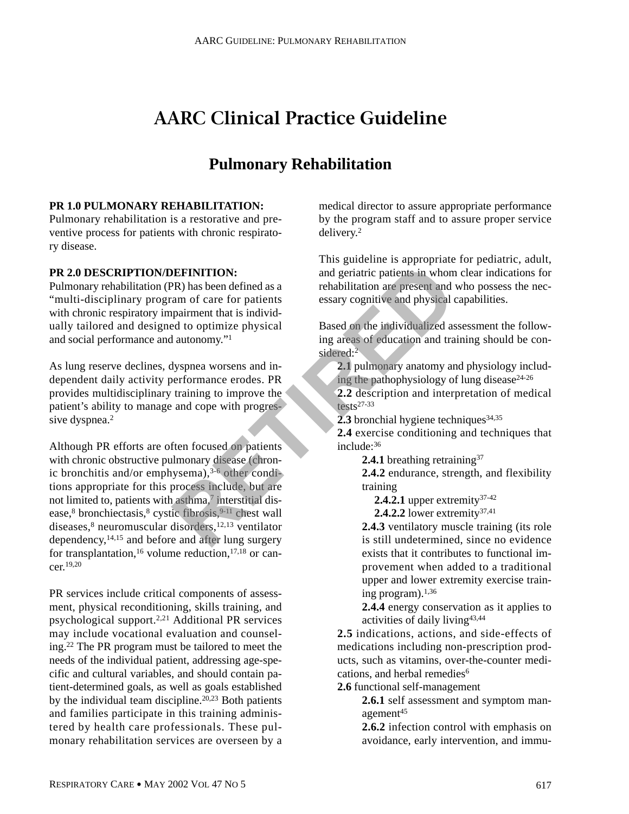# **AARC Clinical Practice Guideline**

## **Pulmonary Rehabilitation**

#### **PR 1.0 PULMONARY REHABILITATION:**

Pulmonary rehabilitation is a restorative and preventive process for patients with chronic respiratory disease.

#### **PR 2.0 DESCRIPTION/DEFINITION:**

Pulmonary rehabilitation (PR) has been defined as a "multi-disciplinary program of care for patients with chronic respiratory impairment that is individually tailored and designed to optimize physical and social performance and autonomy."1

As lung reserve declines, dyspnea worsens and independent daily activity performance erodes. PR provides multidisciplinary training to improve the patient's ability to manage and cope with progressive dyspnea.<sup>2</sup>

Although PR efforts are often focused on patients with chronic obstructive pulmonary disease (chronic bronchitis and/or emphysema), $3-6$  other conditions appropriate for this process include, but are not limited to, patients with asthma,<sup>7</sup> interstitial disease,<sup>8</sup> bronchiectasis,<sup>8</sup> cystic fibrosis,<sup>9-11</sup> chest wall diseases, $8$  neuromuscular disorders,  $12,13$  ventilator dependency,14,15 and before and after lung surgery for transplantation,<sup>16</sup> volume reduction,<sup>17,18</sup> or cancer.19,20 **EFINITION:**<br>
and geriatric patients in whom<br>
rehabilitation are present and<br>
pairment that is individual<br>
d to optimize physical<br>
autonomy."<br>
and environg cognitive and physical<br>
autonomy."<br>
and copies in the individualiz

PR services include critical components of assessment, physical reconditioning, skills training, and psychological support.2,21 Additional PR services may include vocational evaluation and counseling.22 The PR program must be tailored to meet the needs of the individual patient, addressing age-specific and cultural variables, and should contain patient-determined goals, as well as goals established by the individual team discipline.20,23 Both patients and families participate in this training administered by health care professionals. These pulmonary rehabilitation services are overseen by a

medical director to assure appropriate performance by the program staff and to assure proper service delivery.2

This guideline is appropriate for pediatric, adult, and geriatric patients in whom clear indications for rehabilitation are present and who possess the necessary cognitive and physical capabilities.

Based on the individualized assessment the following areas of education and training should be considered:<sup>2</sup>

**2.1** pulmonary anatomy and physiology including the pathophysiology of lung disease $24-26$ 

**2.2** description and interpretation of medical tests27-33

**2.3** bronchial hygiene techniques  $34,35$ 

**2.4** exercise conditioning and techniques that include:36

2.4.1 breathing retraining<sup>37</sup>

**2.4.2** endurance, strength, and flexibility training

**2.4.2.1** upper extremity<sup>37-42</sup>

**2.4.2.2** lower extremity37,41

**2.4.3** ventilatory muscle training (its role is still undetermined, since no evidence exists that it contributes to functional improvement when added to a traditional upper and lower extremity exercise training program).1,36

**2.4.4** energy conservation as it applies to activities of daily living43,44

**2.5** indications, actions, and side-effects of medications including non-prescription products, such as vitamins, over-the-counter medications, and herbal remedies<sup>6</sup>

**2.6** functional self-management

**2.6.1** self assessment and symptom management<sup>45</sup>

**2.6.2** infection control with emphasis on avoidance, early intervention, and immu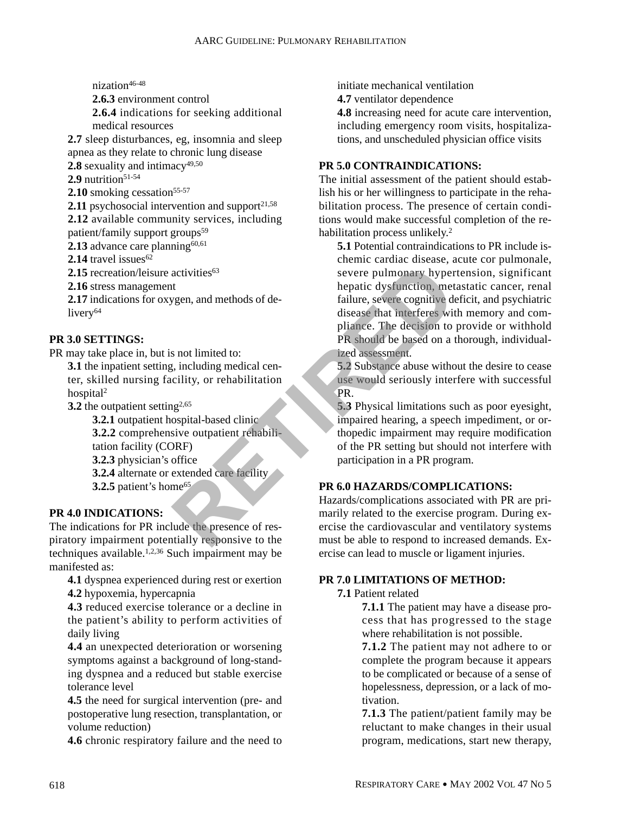nization<sup>46-48</sup>

**2.6.3** environment control

**2.6.4** indications for seeking additional medical resources

**2.7** sleep disturbances, eg, insomnia and sleep apnea as they relate to chronic lung disease **2.8** sexuality and intimacy<sup>49,50</sup>

 $2.9$  nutrition<sup>51-54</sup>

**2.10** smoking cessation<sup>55-57</sup>

**2.11** psychosocial intervention and support $2^{1,58}$ 

**2.12** available community services, including patient/family support groups<sup>59</sup>

**2.13** advance care planning $60,61$ 

**2.14** travel issues<sup>62</sup>

2.15 recreation/leisure activities<sup>63</sup>

**2.16** stress management

**2.17** indications for oxygen, and methods of delivery<sup>64</sup>

#### **PR 3.0 SETTINGS:**

PR may take place in, but is not limited to:

**3.1** the inpatient setting, including medical center, skilled nursing facility, or rehabilitation hospital2

**3.2** the outpatient setting<sup>2,65</sup>

**3.2.1** outpatient hospital-based clinic **3.2.2** comprehensive outpatient rehabilitation facility (CORF)

**3.2.3** physician's office

**3.2.4** alternate or extended care facility

**3.2.5** patient's home<sup>65</sup>

#### **PR 4.0 INDICATIONS:**

The indications for PR include the presence of respiratory impairment potentially responsive to the techniques available.1,2,36 Such impairment may be manifested as:

**4.1** dyspnea experienced during rest or exertion **4.2** hypoxemia, hypercapnia

**4.3** reduced exercise tolerance or a decline in the patient's ability to perform activities of daily living

**4.4** an unexpected deterioration or worsening symptoms against a background of long-standing dyspnea and a reduced but stable exercise tolerance level

**4.5** the need for surgical intervention (pre- and postoperative lung resection, transplantation, or volume reduction)

**4.6** chronic respiratory failure and the need to

initiate mechanical ventilation

**4.7** ventilator dependence

**4.8** increasing need for acute care intervention, including emergency room visits, hospitalizations, and unscheduled physician office visits

#### **PR 5.0 CONTRAINDICATIONS:**

The initial assessment of the patient should establish his or her willingness to participate in the rehabilitation process. The presence of certain conditions would make successful completion of the rehabilitation process unlikely.2

**5.1** Potential contraindications to PR include ischemic cardiac disease, acute cor pulmonale, severe pulmonary hypertension, significant hepatic dysfunction, metastatic cancer, renal failure, severe cognitive deficit, and psychiatric disease that interferes with memory and compliance. The decision to provide or withhold PR should be based on a thorough, individualized assessment. activities<sup>63</sup><br>
wever pulmonary hyper<br>
lepatic dysfunction, met<br>
ygen, and methods of de-<br>
failure, severe cognitive de<br>
disease that interferes wit<br>
pliance. The decision to<br>
s not limited to:<br>
presence also and a time in

**5.2** Substance abuse without the desire to cease use would seriously interfere with successful PR.

**5.3** Physical limitations such as poor eyesight, impaired hearing, a speech impediment, or orthopedic impairment may require modification of the PR setting but should not interfere with participation in a PR program.

### **PR 6.0 HAZARDS/COMPLICATIONS:**

Hazards/complications associated with PR are primarily related to the exercise program. During exercise the cardiovascular and ventilatory systems must be able to respond to increased demands. Exercise can lead to muscle or ligament injuries.

#### **PR 7.0 LIMITATIONS OF METHOD:**

#### **7.1** Patient related

**7.1.1** The patient may have a disease process that has progressed to the stage where rehabilitation is not possible.

**7.1.2** The patient may not adhere to or complete the program because it appears to be complicated or because of a sense of hopelessness, depression, or a lack of motivation.

**7.1.3** The patient/patient family may be reluctant to make changes in their usual program, medications, start new therapy,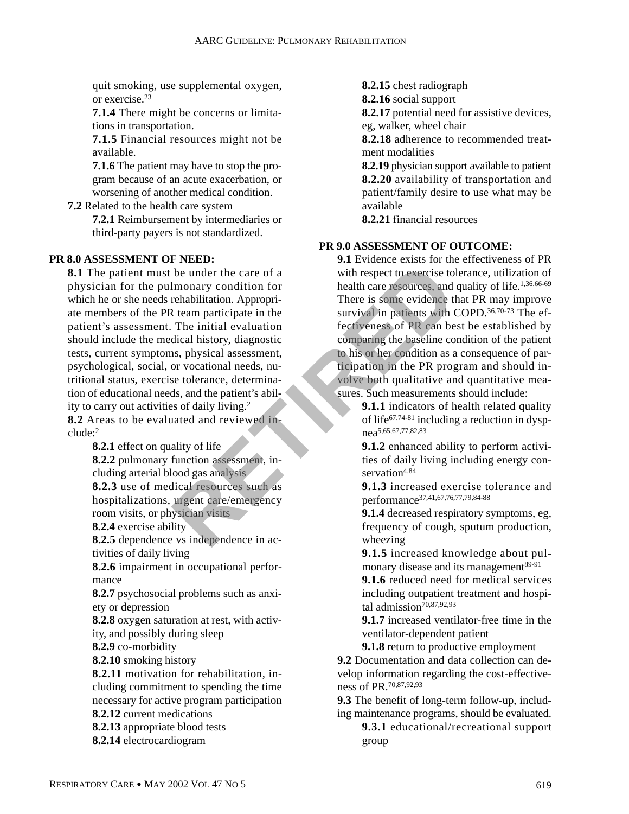quit smoking, use supplemental oxygen, or exercise.23

**7.1.4** There might be concerns or limitations in transportation.

**7.1.5** Financial resources might not be available.

**7.1.6** The patient may have to stop the program because of an acute exacerbation, or worsening of another medical condition.

**7.2** Related to the health care system

**7.2.1** Reimbursement by intermediaries or third-party payers is not standardized.

#### **PR 8.0 ASSESSMENT OF NEED:**

**8.1** The patient must be under the care of a physician for the pulmonary condition for which he or she needs rehabilitation. Appropriate members of the PR team participate in the patient's assessment. The initial evaluation should include the medical history, diagnostic tests, current symptoms, physical assessment, psychological, social, or vocational needs, nutritional status, exercise tolerance, determination of educational needs, and the patient's ability to carry out activities of daily living.2 **8.2** Areas to be evaluated and reviewed inbe under the care of a<br>
Imonary condition for<br>
rehabilitation. Approprime the survival in expect to exercise to<br>
rehabilitation. Approprime the survival in patients with Che initial evaluation<br>
dical history, diagnostic<br>
s

clude:2

**8.2.1** effect on quality of life **8.2.2** pulmonary function assessment, including arterial blood gas analysis **8.2.3** use of medical resources such as hospitalizations, urgent care/emergency room visits, or physician visits **8.2.4** exercise ability **8.2.5** dependence vs independence in activities of daily living **8.2.6** impairment in occupational performance **8.2.7** psychosocial problems such as anxiety or depression **8.2.8** oxygen saturation at rest, with activity, and possibly during sleep **8.2.9** co-morbidity **8.2.10** smoking history

**8.2.11** motivation for rehabilitation, including commitment to spending the time necessary for active program participation **8.2.12** current medications **8.2.13** appropriate blood tests

**8.2.14** electrocardiogram

**8.2.15** chest radiograph

**8.2.16** social support

**8.2.17** potential need for assistive devices, eg, walker, wheel chair

**8.2.18** adherence to recommended treatment modalities

**8.2.19** physician support available to patient **8.2.20** availability of transportation and patient/family desire to use what may be available

**8.2.21** financial resources

#### **PR 9.0 ASSESSMENT OF OUTCOME:**

**9.1** Evidence exists for the effectiveness of PR with respect to exercise tolerance, utilization of health care resources, and quality of life.<sup>1,36,66-69</sup> There is some evidence that PR may improve survival in patients with COPD.<sup>36,70-73</sup> The effectiveness of PR can best be established by comparing the baseline condition of the patient to his or her condition as a consequence of participation in the PR program and should involve both qualitative and quantitative measures. Such measurements should include:

**9.1.1** indicators of health related quality of life67,74-81 including a reduction in dyspnea5,65,67,77,82,83

**9.1.2** enhanced ability to perform activities of daily living including energy conservation<sup>4,84</sup>

**9.1.3** increased exercise tolerance and performance37,41,67,76,77,79,84-88

**9.1.4** decreased respiratory symptoms, eg, frequency of cough, sputum production, wheezing

**9.1.5** increased knowledge about pulmonary disease and its management<sup>89-91</sup>

**9.1.6** reduced need for medical services including outpatient treatment and hospital admission $70,87,92,93$ 

**9.1.7** increased ventilator-free time in the ventilator-dependent patient

**9.1.8** return to productive employment

**9.2** Documentation and data collection can develop information regarding the cost-effectiveness of PR.70,87,92,93

**9.3** The benefit of long-term follow-up, including maintenance programs, should be evaluated.

**9.3.1** educational/recreational support group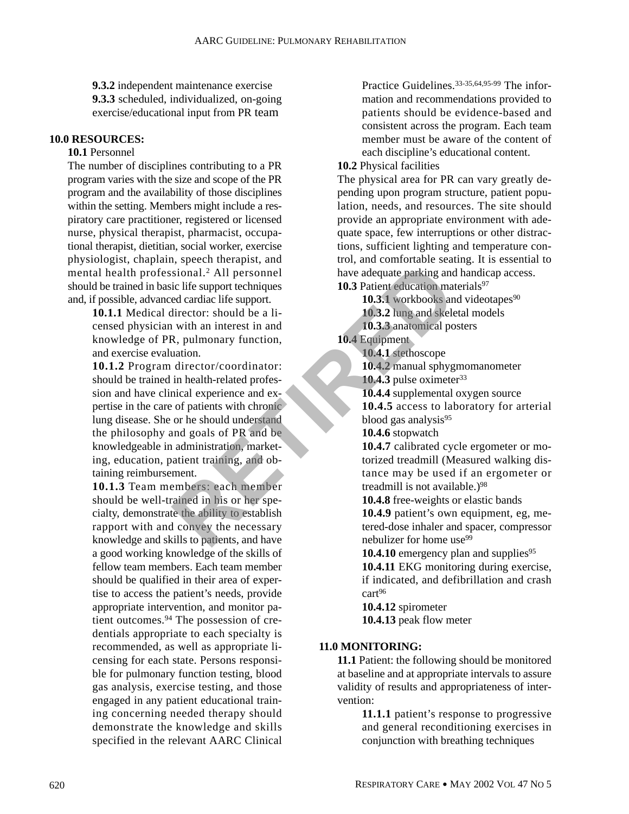**9.3.2** independent maintenance exercise **9.3.3** scheduled, individualized, on-going exercise/educational input from PR team

#### **10.0 RESOURCES:**

#### **10.1** Personnel

The number of disciplines contributing to a PR program varies with the size and scope of the PR program and the availability of those disciplines within the setting. Members might include a respiratory care practitioner, registered or licensed nurse, physical therapist, pharmacist, occupational therapist, dietitian, social worker, exercise physiologist, chaplain, speech therapist, and mental health professional.2 All personnel should be trained in basic life support techniques and, if possible, advanced cardiac life support.

> **10.1.1** Medical director: should be a licensed physician with an interest in and knowledge of PR, pulmonary function, and exercise evaluation.

**10.1.2** Program director/coordinator: should be trained in health-related profession and have clinical experience and expertise in the care of patients with chronic lung disease. She or he should understand the philosophy and goals of PR and be knowledgeable in administration, marketing, education, patient training, and obtaining reimbursement. Sional.<sup>2</sup> All personnel<br>
ic life support techniques<br>
ed cardiac life support.<br>
all personnel<br>
ic life support techniques<br>
ed cardiac life support.<br>
all personnel<br>
all personnel<br>
all personnel<br>
all personnel<br>
all personnel

**10.1.3** Team members: each member should be well-trained in his or her specialty, demonstrate the ability to establish rapport with and convey the necessary knowledge and skills to patients, and have a good working knowledge of the skills of fellow team members. Each team member should be qualified in their area of expertise to access the patient's needs, provide appropriate intervention, and monitor patient outcomes.94 The possession of credentials appropriate to each specialty is recommended, as well as appropriate licensing for each state. Persons responsible for pulmonary function testing, blood gas analysis, exercise testing, and those engaged in any patient educational training concerning needed therapy should demonstrate the knowledge and skills specified in the relevant AARC Clinical Practice Guidelines.33-35,64,95-99 The information and recommendations provided to patients should be evidence-based and consistent across the program. Each team member must be aware of the content of each discipline's educational content.

#### **10.2** Physical facilities

The physical area for PR can vary greatly depending upon program structure, patient population, needs, and resources. The site should provide an appropriate environment with adequate space, few interruptions or other distractions, sufficient lighting and temperature control, and comfortable seating. It is essential to have adequate parking and handicap access. **10.3** Patient education materials<sup>97</sup>

**10.3.1** workbooks and videotapes<sup>90</sup>

**10.3.2** lung and skeletal models

**10.3.3** anatomical posters **10.4** Equipment

**10.4.1** stethoscope

**10.4.2** manual sphygmomanometer

10.4.3 pulse oximeter<sup>33</sup>

**10.4.4** supplemental oxygen source

**10.4.5** access to laboratory for arterial blood gas analysis $95$ 

**10.4.6** stopwatch

**10.4.7** calibrated cycle ergometer or motorized treadmill (Measured walking distance may be used if an ergometer or treadmill is not available.)<sup>98</sup>

**10.4.8** free-weights or elastic bands

**10.4.9** patient's own equipment, eg, metered-dose inhaler and spacer, compressor nebulizer for home use<sup>99</sup>

**10.4.10** emergency plan and supplies<sup>95</sup> **10.4.11** EKG monitoring during exercise, if indicated, and defibrillation and crash cart<sup>96</sup>

**10.4.12** spirometer **10.4.13** peak flow meter

#### **11.0 MONITORING:**

**11.1** Patient: the following should be monitored at baseline and at appropriate intervals to assure validity of results and appropriateness of intervention:

> **11.1.1** patient's response to progressive and general reconditioning exercises in conjunction with breathing techniques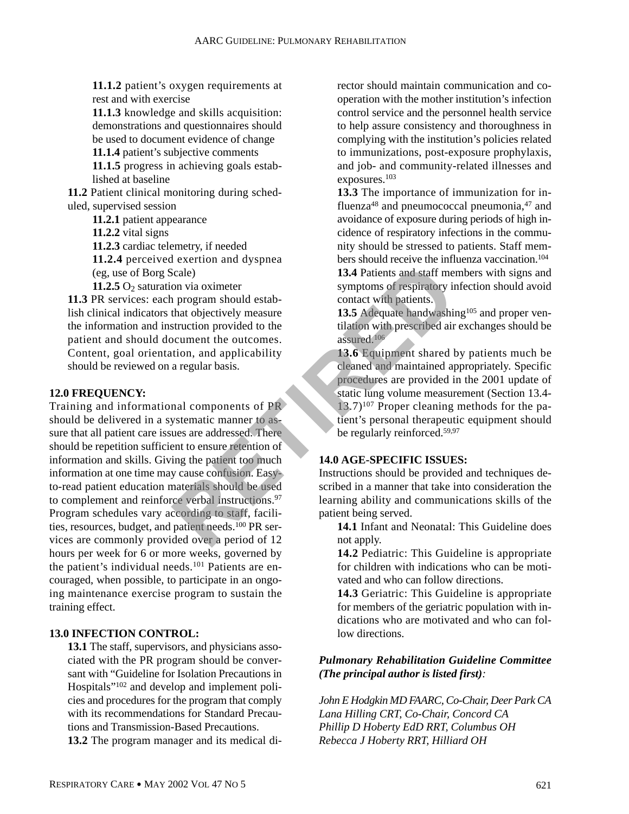**11.1.2** patient's oxygen requirements at rest and with exercise

**11.1.3** knowledge and skills acquisition: demonstrations and questionnaires should be used to document evidence of change

**11.1.4** patient's subjective comments

**11.1.5** progress in achieving goals established at baseline

**11.2** Patient clinical monitoring during scheduled, supervised session

**11.2.1** patient appearance

**11.2.2** vital signs

**11.2.3** cardiac telemetry, if needed

**11.2.4** perceived exertion and dyspnea

(eg, use of Borg Scale)

**11.2.5**  $O_2$  saturation via oximeter

**11.3** PR services: each program should establish clinical indicators that objectively measure the information and instruction provided to the patient and should document the outcomes. Content, goal orientation, and applicability should be reviewed on a regular basis.

#### **12.0 FREQUENCY:**

Training and informational components of PR should be delivered in a systematic manner to assure that all patient care issues are addressed. There should be repetition sufficient to ensure retention of information and skills. Giving the patient too much information at one time may cause confusion. Easyto-read patient education materials should be used to complement and reinforce verbal instructions.<sup>97</sup> Program schedules vary according to staff, facilities, resources, budget, and patient needs.<sup>100</sup> PR services are commonly provided over a period of 12 hours per week for 6 or more weeks, governed by the patient's individual needs.<sup>101</sup> Patients are encouraged, when possible, to participate in an ongoing maintenance exercise program to sustain the training effect. Cale)<br> **Example 13.4 Patients and staff me**<br>
on via oximeter<br>
that objectively measure<br>
that objectively measure<br>
that objectively measure<br>
that objectively measure<br>
that objectively measure<br>
that objectively measure<br>
that

#### **13.0 INFECTION CONTROL:**

**13.1** The staff, supervisors, and physicians associated with the PR program should be conversant with "Guideline for Isolation Precautions in Hospitals"102 and develop and implement policies and procedures for the program that comply with its recommendations for Standard Precautions and Transmission-Based Precautions. **13.2** The program manager and its medical director should maintain communication and cooperation with the mother institution's infection control service and the personnel health service to help assure consistency and thoroughness in complying with the institution's policies related to immunizations, post-exposure prophylaxis, and job- and community-related illnesses and exposures.103

**13.3** The importance of immunization for influenza<sup>48</sup> and pneumococcal pneumonia,  $47$  and avoidance of exposure during periods of high incidence of respiratory infections in the community should be stressed to patients. Staff members should receive the influenza vaccination.<sup>104</sup>

**13.4** Patients and staff members with signs and symptoms of respiratory infection should avoid contact with patients.

**13.5** Adequate handwashing<sup>105</sup> and proper ventilation with prescribed air exchanges should be assured.106

**13.6** Equipment shared by patients much be cleaned and maintained appropriately. Specific procedures are provided in the 2001 update of static lung volume measurement (Section 13.4-  $13.7$ <sup>107</sup> Proper cleaning methods for the patient's personal therapeutic equipment should be regularly reinforced.59,97

#### **14.0 AGE-SPECIFIC ISSUES:**

Instructions should be provided and techniques described in a manner that take into consideration the learning ability and communications skills of the patient being served.

**14.1** Infant and Neonatal: This Guideline does not apply.

**14.2** Pediatric: This Guideline is appropriate for children with indications who can be motivated and who can follow directions.

**14.3** Geriatric: This Guideline is appropriate for members of the geriatric population with indications who are motivated and who can follow directions.

#### *Pulmonary Rehabilitation Guideline Committee (The principal author is listed first):*

*John E Hodgkin MD FAARC, Co-Chair, Deer Park CA Lana Hilling CRT, Co-Chair, Concord CA Phillip D Hoberty EdD RRT, Columbus OH Rebecca J Hoberty RRT, Hilliard OH*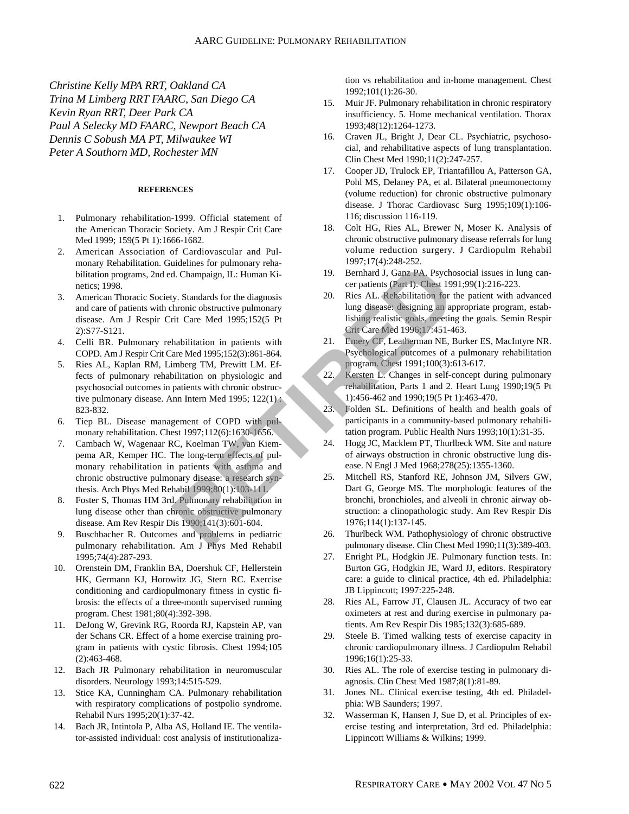*Christine Kelly MPA RRT, Oakland CA Trina M Limberg RRT FAARC, San Diego CA Kevin Ryan RRT, Deer Park CA Paul A Selecky MD FAARC, Newport Beach CA Dennis C Sobush MA PT, Milwaukee WI Peter A Southorn MD, Rochester MN*

#### **REFERENCES**

- 1. Pulmonary rehabilitation-1999. Official statement of the American Thoracic Society. Am J Respir Crit Care Med 1999; 159(5 Pt 1):1666-1682.
- 2. American Association of Cardiovascular and Pulmonary Rehabilitation. Guidelines for pulmonary rehabilitation programs, 2nd ed. Champaign, IL: Human Kinetics; 1998.
- 3. American Thoracic Society. Standards for the diagnosis and care of patients with chronic obstructive pulmonary disease. Am J Respir Crit Care Med 1995;152(5 Pt 2):S77-S121.
- 4. Celli BR. Pulmonary rehabilitation in patients with COPD. Am J Respir Crit Care Med 1995;152(3):861-864.
- 5. Ries AL, Kaplan RM, Limberg TM, Prewitt LM. Effects of pulmonary rehabilitation on physiologic and psychosocial outcomes in patients with chronic obstructive pulmonary disease. Ann Intern Med 1995;  $122(1)$ . 823-832.
- 6. Tiep BL. Disease management of COPD with pulmonary rehabilitation. Chest 1997;112(6):1630-1656.
- 7. Cambach W, Wagenaar RC, Koelman TW, van Kiempema AR, Kemper HC. The long-term effects of pulmonary rehabilitation in patients with asthma and chronic obstructive pulmonary disease: a research synthesis. Arch Phys Med Rehabil 1999;80(1):103-111.
- 8. Foster S, Thomas HM 3rd. Pulmonary rehabilitation in lung disease other than chronic obstructive pulmonary disease. Am Rev Respir Dis 1990;141(3):601-604.
- 9. Buschbacher R. Outcomes and problems in pediatric pulmonary rehabilitation. Am J Phys Med Rehabil 1995;74(4):287-293.
- 10. Orenstein DM, Franklin BA, Doershuk CF, Hellerstein HK, Germann KJ, Horowitz JG, Stern RC. Exercise conditioning and cardiopulmonary fitness in cystic fibrosis: the effects of a three-month supervised running program. Chest 1981;80(4):392-398.
- 11. DeJong W, Grevink RG, Roorda RJ, Kapstein AP, van der Schans CR. Effect of a home exercise training program in patients with cystic fibrosis. Chest 1994;105 (2):463-468.
- 12. Bach JR Pulmonary rehabilitation in neuromuscular disorders. Neurology 1993;14:515-529.
- 13. Stice KA, Cunningham CA. Pulmonary rehabilitation with respiratory complications of postpolio syndrome. Rehabil Nurs 1995;20(1):37-42.
- 14. Bach JR, Intintola P, Alba AS, Holland IE. The ventilator-assisted individual: cost analysis of institutionaliza-

tion vs rehabilitation and in-home management. Chest 1992;101(1):26-30.

- 15. Muir JF. Pulmonary rehabilitation in chronic respiratory insufficiency. 5. Home mechanical ventilation. Thorax 1993;48(12):1264-1273.
- 16. Craven JL, Bright J, Dear CL. Psychiatric, psychosocial, and rehabilitative aspects of lung transplantation. Clin Chest Med 1990;11(2):247-257.
- 17. Cooper JD, Trulock EP, Triantafillou A, Patterson GA, Pohl MS, Delaney PA, et al. Bilateral pneumonectomy (volume reduction) for chronic obstructive pulmonary disease. J Thorac Cardiovasc Surg 1995;109(1):106- 116; discussion 116-119.
- 18. Colt HG, Ries AL, Brewer N, Moser K. Analysis of chronic obstructive pulmonary disease referrals for lung volume reduction surgery. J Cardiopulm Rehabil 1997;17(4):248-252.
- 19. Bernhard J, Ganz PA. Psychosocial issues in lung cancer patients (Part I). Chest 1991;99(1):216-223.
- 20. Ries AL. Rehabilitation for the patient with advanced lung disease: designing an appropriate program, establishing realistic goals, meeting the goals. Semin Respir Crit Care Med 1996;17:451-463.
- 21. Emery CF, Leatherman NE, Burker ES, MacIntyre NR. Psychological outcomes of a pulmonary rehabilitation program. Chest 1991;100(3):613-617.
- 22. Kersten L. Changes in self-concept during pulmonary rehabilitation, Parts 1 and 2. Heart Lung 1990;19(5 Pt 1):456-462 and 1990;19(5 Pt 1):463-470.
- 23. Folden SL. Definitions of health and health goals of participants in a community-based pulmonary rehabilitation program. Public Health Nurs 1993;10(1):31-35.
- 24. Hogg JC, Macklem PT, Thurlbeck WM. Site and nature of airways obstruction in chronic obstructive lung disease. N Engl J Med 1968;278(25):1355-1360.
- 25. Mitchell RS, Stanford RE, Johnson JM, Silvers GW, Dart G, George MS. The morphologic features of the bronchi, bronchioles, and alveoli in chronic airway obstruction: a clinopathologic study. Am Rev Respir Dis 1976;114(1):137-145. unelines for pulminary tension and the correct of the diagnosis<br>
A. Champaign, IL: Human Kingthe and Kingthe Correct and A. Senhand J. Ganz PA, Psychomic obstructive pulmonary<br>
through discussions and all the sender of the
	- 26. Thurlbeck WM. Pathophysiology of chronic obstructive pulmonary disease. Clin Chest Med 1990;11(3):389-403.
	- 27. Enright PL, Hodgkin JE. Pulmonary function tests. In: Burton GG, Hodgkin JE, Ward JJ, editors. Respiratory care: a guide to clinical practice, 4th ed. Philadelphia: JB Lippincott; 1997:225-248.
	- 28. Ries AL, Farrow JT, Clausen JL. Accuracy of two ear oximeters at rest and during exercise in pulmonary patients. Am Rev Respir Dis 1985;132(3):685-689.
	- 29. Steele B. Timed walking tests of exercise capacity in chronic cardiopulmonary illness. J Cardiopulm Rehabil 1996;16(1):25-33.
	- 30. Ries AL. The role of exercise testing in pulmonary diagnosis. Clin Chest Med 1987;8(1):81-89.
	- 31. Jones NL. Clinical exercise testing, 4th ed. Philadelphia: WB Saunders; 1997.
	- 32. Wasserman K, Hansen J, Sue D, et al. Principles of exercise testing and interpretation, 3rd ed. Philadelphia: Lippincott Williams & Wilkins; 1999.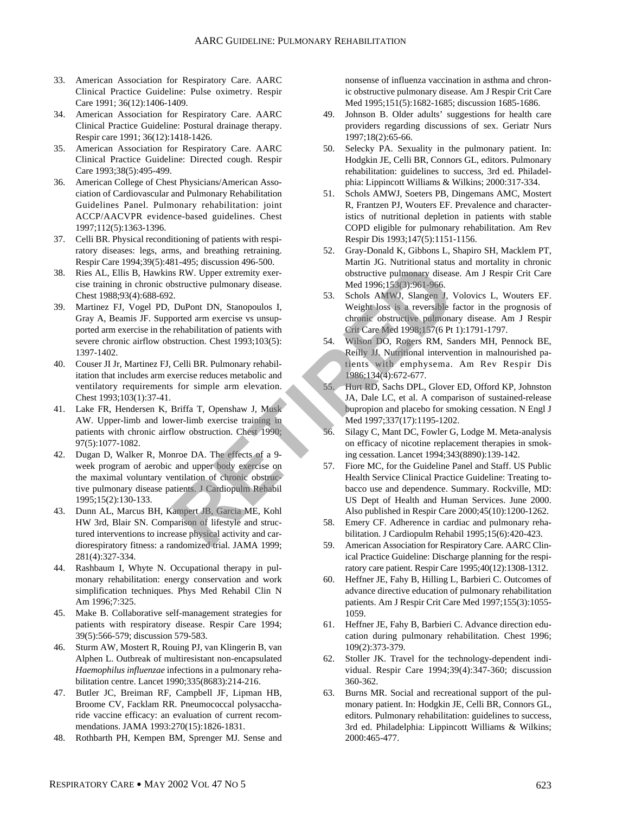- 33. American Association for Respiratory Care. AARC Clinical Practice Guideline: Pulse oximetry. Respir Care 1991; 36(12):1406-1409.
- 34. American Association for Respiratory Care. AARC Clinical Practice Guideline: Postural drainage therapy. Respir care 1991; 36(12):1418-1426.
- 35. American Association for Respiratory Care. AARC Clinical Practice Guideline: Directed cough. Respir Care 1993;38(5):495-499.
- 36. American College of Chest Physicians/American Association of Cardiovascular and Pulmonary Rehabilitation Guidelines Panel. Pulmonary rehabilitation: joint ACCP/AACVPR evidence-based guidelines. Chest 1997;112(5):1363-1396.
- 37. Celli BR. Physical reconditioning of patients with respiratory diseases: legs, arms, and breathing retraining. Respir Care 1994;39(5):481-495; discussion 496-500.
- 38. Ries AL, Ellis B, Hawkins RW. Upper extremity exercise training in chronic obstructive pulmonary disease. Chest 1988;93(4):688-692.
- 39. Martinez FJ, Vogel PD, DuPont DN, Stanopoulos I, Gray A, Beamis JF. Supported arm exercise vs unsupported arm exercise in the rehabilitation of patients with severe chronic airflow obstruction. Chest 1993;103(5): 1397-1402.
- 40. Couser JI Jr, Martinez FJ, Celli BR. Pulmonary rehabilitation that includes arm exercise reduces metabolic and ventilatory requirements for simple arm elevation. Chest 1993;103(1):37-41.
- 41. Lake FR, Hendersen K, Briffa T, Openshaw J, Musk AW. Upper-limb and lower-limb exercise training in patients with chronic airflow obstruction. Chest 1990; 97(5):1077-1082.
- 42. Dugan D, Walker R, Monroe DA. The effects of a 9 week program of aerobic and upper body exercise on the maximal voluntary ventilation of chronic obstructive pulmonary disease patients. J Cardiopulm Rehabil 1995;15(2):130-133.
- 43. Dunn AL, Marcus BH, Kampert JB, Garcia ME, Kohl HW 3rd, Blair SN. Comparison of lifestyle and structured interventions to increase physical activity and cardiorespiratory fitness: a randomized trial. JAMA 1999; 281(4):327-334.
- 44. Rashbaum I, Whyte N. Occupational therapy in pulmonary rehabilitation: energy conservation and work simplification techniques. Phys Med Rehabil Clin N Am 1996;7:325.
- 45. Make B. Collaborative self-management strategies for patients with respiratory disease. Respir Care 1994; 39(5):566-579; discussion 579-583.
- 46. Sturm AW, Mostert R, Rouing PJ, van Klingerin B, van Alphen L. Outbreak of multiresistant non-encapsulated *Haemophilus influenzae* infections in a pulmonary rehabilitation centre. Lancet 1990;335(8683):214-216.
- 47. Butler JC, Breiman RF, Campbell JF, Lipman HB, Broome CV, Facklam RR. Pneumococcal polysaccharide vaccine efficacy: an evaluation of current recommendations. JAMA 1993:270(15):1826-1831.
- 48. Rothbarth PH, Kempen BM, Sprenger MJ. Sense and

nonsense of influenza vaccination in asthma and chronic obstructive pulmonary disease. Am J Respir Crit Care Med 1995;151(5):1682-1685; discussion 1685-1686.

- 49. Johnson B. Older adults' suggestions for health care providers regarding discussions of sex. Geriatr Nurs 1997;18(2):65-66.
- 50. Selecky PA. Sexuality in the pulmonary patient. In: Hodgkin JE, Celli BR, Connors GL, editors. Pulmonary rehabilitation: guidelines to success, 3rd ed. Philadelphia: Lippincott Williams & Wilkins; 2000:317-334.
- 51. Schols AMWJ, Soeters PB, Dingemans AMC, Mostert R, Frantzen PJ, Wouters EF. Prevalence and characteristics of nutritional depletion in patients with stable COPD eligible for pulmonary rehabilitation. Am Rev Respir Dis 1993;147(5):1151-1156.
- 52. Gray-Donald K, Gibbons L, Shapiro SH, Macklem PT, Martin JG. Nutritional status and mortality in chronic obstructive pulmonary disease. Am J Respir Crit Care Med 1996;153(3):961-966.
- 53. Schols AMWJ, Slangen J, Volovics L, Wouters EF. Weight loss is a reversible factor in the prognosis of chronic obstructive pulmonary disease. Am J Respir Crit Care Med 1998;157(6 Pt 1):1791-1797.
- 54. Wilson DO, Rogers RM, Sanders MH, Pennock BE, Reilly JJ. Nutritional intervention in malnourished patients with emphysema. Am Rev Respir Dis 1986;134(4):672-677.
- 55. Hurt RD, Sachs DPL, Glover ED, Offord KP, Johnston JA, Dale LC, et al. A comparison of sustained-release bupropion and placebo for smoking cessation. N Engl J Med 1997;337(17):1195-1202.
- 56. Silagy C, Mant DC, Fowler G, Lodge M. Meta-analysis on efficacy of nicotine replacement therapies in smoking cessation. Lancet 1994;343(8890):139-142.
- 57. Fiore MC, for the Guideline Panel and Staff. US Public Health Service Clinical Practice Guideline: Treating tobacco use and dependence. Summary. Rockville, MD: US Dept of Health and Human Services. June 2000. Also published in Respir Care 2000;45(10):1200-1262. Fractive pulmonary disease.<br> **RETIRED**, Upper extremity exercise the solution of patients of the solution of patients with<br>
DuPont DN, Stanopoulos I,<br>
DuPont DN, Stanopoulos I,<br>
DuPont DN, Stanopoulos I,<br>
DuPont On Patient
	- 58. Emery CF. Adherence in cardiac and pulmonary rehabilitation. J Cardiopulm Rehabil 1995;15(6):420-423.
	- 59. American Association for Respiratory Care. AARC Clinical Practice Guideline: Discharge planning for the respiratory care patient. Respir Care 1995;40(12):1308-1312.
	- 60. Heffner JE, Fahy B, Hilling L, Barbieri C. Outcomes of advance directive education of pulmonary rehabilitation patients. Am J Respir Crit Care Med 1997;155(3):1055- 1059.
	- 61. Heffner JE, Fahy B, Barbieri C. Advance direction education during pulmonary rehabilitation. Chest 1996; 109(2):373-379.
	- 62. Stoller JK. Travel for the technology-dependent individual. Respir Care 1994;39(4):347-360; discussion 360-362.
	- 63. Burns MR. Social and recreational support of the pulmonary patient. In: Hodgkin JE, Celli BR, Connors GL, editors. Pulmonary rehabilitation: guidelines to success, 3rd ed. Philadelphia: Lippincott Williams & Wilkins; 2000:465-477.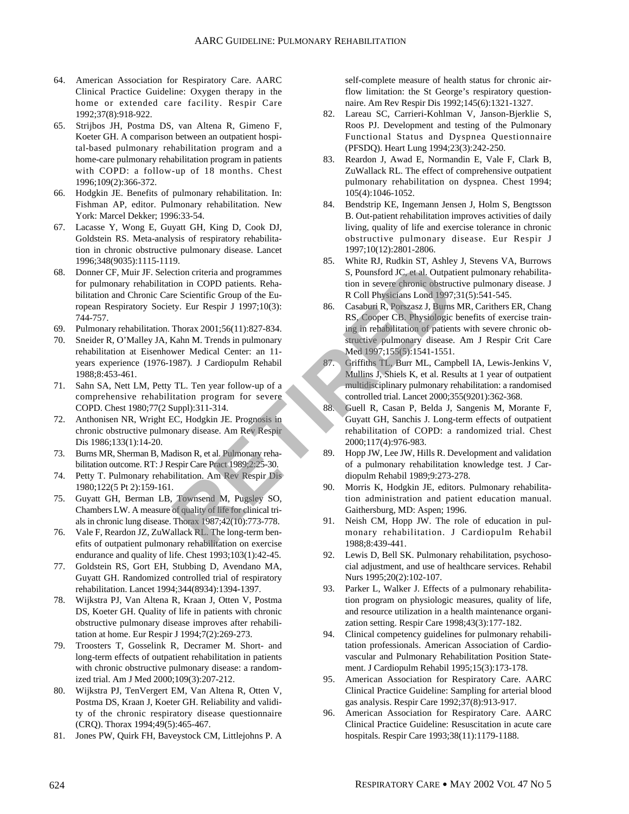- 64. American Association for Respiratory Care. AARC Clinical Practice Guideline: Oxygen therapy in the home or extended care facility. Respir Care 1992;37(8):918-922.
- 65. Strijbos JH, Postma DS, van Altena R, Gimeno F, Koeter GH. A comparison between an outpatient hospital-based pulmonary rehabilitation program and a home-care pulmonary rehabilitation program in patients with COPD: a follow-up of 18 months. Chest 1996;109(2):366-372.
- 66. Hodgkin JE. Benefits of pulmonary rehabilitation. In: Fishman AP, editor. Pulmonary rehabilitation. New York: Marcel Dekker; 1996:33-54.
- 67. Lacasse Y, Wong E, Guyatt GH, King D, Cook DJ, Goldstein RS. Meta-analysis of respiratory rehabilitation in chronic obstructive pulmonary disease. Lancet 1996;348(9035):1115-1119.
- 68. Donner CF, Muir JF. Selection criteria and programmes for pulmonary rehabilitation in COPD patients. Rehabilitation and Chronic Care Scientific Group of the European Respiratory Society. Eur Respir J 1997;10(3): 744-757.
- 69. Pulmonary rehabilitation. Thorax 2001;56(11):827-834.
- 70. Sneider R, O'Malley JA, Kahn M. Trends in pulmonary rehabilitation at Eisenhower Medical Center: an 11 years experience (1976-1987). J Cardiopulm Rehabil 1988;8:453-461.
- 71. Sahn SA, Nett LM, Petty TL. Ten year follow-up of a comprehensive rehabilitation program for severe COPD. Chest 1980;77(2 Suppl):311-314.
- 72. Anthonisen NR, Wright EC, Hodgkin JE. Prognosis in chronic obstructive pulmonary disease. Am Rev Respir Dis 1986;133(1):14-20.
- 73. Burns MR, Sherman B, Madison R, et al. Pulmonary rehabilitation outcome. RT: J Respir Care Pract 1989;2:25-30.
- 74. Petty T. Pulmonary rehabilitation. Am Rev Respir Dis 1980;122(5 Pt 2):159-161.
- 75. Guyatt GH, Berman LB, Townsend M, Pugsley SO, Chambers LW. A measure of quality of life for clinical trials in chronic lung disease. Thorax 1987;42(10):773-778.
- 76. Vale F, Reardon JZ, ZuWallack RL. The long-term benefits of outpatient pulmonary rehabilitation on exercise endurance and quality of life. Chest 1993;103(1):42-45.
- 77. Goldstein RS, Gort EH, Stubbing D, Avendano MA, Guyatt GH. Randomized controlled trial of respiratory rehabilitation. Lancet 1994;344(8934):1394-1397.
- 78. Wijkstra PJ, Van Altena R, Kraan J, Otten V, Postma DS, Koeter GH. Quality of life in patients with chronic obstructive pulmonary disease improves after rehabilitation at home. Eur Respir J 1994;7(2):269-273.
- Troosters T, Gosselink R, Decramer M. Short- and long-term effects of outpatient rehabilitation in patients with chronic obstructive pulmonary disease: a randomized trial. Am J Med 2000;109(3):207-212.
- 80. Wijkstra PJ, TenVergert EM, Van Altena R, Otten V, Postma DS, Kraan J, Koeter GH. Reliability and validity of the chronic respiratory disease questionnaire (CRQ). Thorax 1994;49(5):465-467.
- 81. Jones PW, Quirk FH, Baveystock CM, Littlejohns P. A

self-complete measure of health status for chronic airflow limitation: the St George's respiratory questionnaire. Am Rev Respir Dis 1992;145(6):1321-1327.

- 82. Lareau SC, Carrieri-Kohlman V, Janson-Bjerklie S, Roos PJ. Development and testing of the Pulmonary Functional Status and Dyspnea Questionnaire (PFSDQ). Heart Lung 1994;23(3):242-250.
- 83. Reardon J, Awad E, Normandin E, Vale F, Clark B, ZuWallack RL. The effect of comprehensive outpatient pulmonary rehabilitation on dyspnea. Chest 1994; 105(4):1046-1052.
- 84. Bendstrip KE, Ingemann Jensen J, Holm S, Bengtsson B. Out-patient rehabilitation improves activities of daily living, quality of life and exercise tolerance in chronic obstructive pulmonary disease. Eur Respir J 1997;10(12):2801-2806.
- 85. White RJ, Rudkin ST, Ashley J, Stevens VA, Burrows S, Pounsford JC, et al. Outpatient pulmonary rehabilitation in severe chronic obstructive pulmonary disease. J R Coll Physicians Lond 1997;31(5):541-545.
- 86. Casaburi R, Porszasz J, Burns MR, Carithers ER, Chang RS, Cooper CB. Physiologic benefits of exercise training in rehabilitation of patients with severe chronic obstructive pulmonary disease. Am J Respir Crit Care Med 1997;155(5):1541-1551. Continent and programmes<br>
Continent and programmes<br>
Continent and programmes<br>
RETIRED Coupled the Equal of the Equal of the Equal of the Equal of the Equal of the Equal of the Equal of the Equal of the Equal of the Equal o
	- 87. Griffiths TL, Burr ML, Campbell IA, Lewis-Jenkins V, Mullins J, Shiels K, et al. Results at 1 year of outpatient multidisciplinary pulmonary rehabilitation: a randomised controlled trial. Lancet 2000;355(9201):362-368.
	- 88. Guell R, Casan P, Belda J, Sangenis M, Morante F, Guyatt GH, Sanchis J. Long-term effects of outpatient rehabilitation of COPD: a randomized trial. Chest 2000;117(4):976-983.
	- 89. Hopp JW, Lee JW, Hills R. Development and validation of a pulmonary rehabilitation knowledge test. J Cardiopulm Rehabil 1989;9:273-278.
	- 90. Morris K, Hodgkin JE, editors. Pulmonary rehabilitation administration and patient education manual. Gaithersburg, MD: Aspen; 1996.
	- 91. Neish CM, Hopp JW. The role of education in pulmonary rehabilitation. J Cardiopulm Rehabil 1988;8:439-441.
	- 92. Lewis D, Bell SK. Pulmonary rehabilitation, psychosocial adjustment, and use of healthcare services. Rehabil Nurs 1995;20(2):102-107.
	- 93. Parker L, Walker J. Effects of a pulmonary rehabilitation program on physiologic measures, quality of life, and resource utilization in a health maintenance organization setting. Respir Care 1998;43(3):177-182.
	- 94. Clinical competency guidelines for pulmonary rehabilitation professionals. American Association of Cardiovascular and Pulmonary Rehabilitation Position Statement. J Cardiopulm Rehabil 1995;15(3):173-178.
	- 95. American Association for Respiratory Care. AARC Clinical Practice Guideline: Sampling for arterial blood gas analysis. Respir Care 1992;37(8):913-917.
	- 96. American Association for Respiratory Care. AARC Clinical Practice Guideline: Resuscitation in acute care hospitals. Respir Care 1993;38(11):1179-1188.